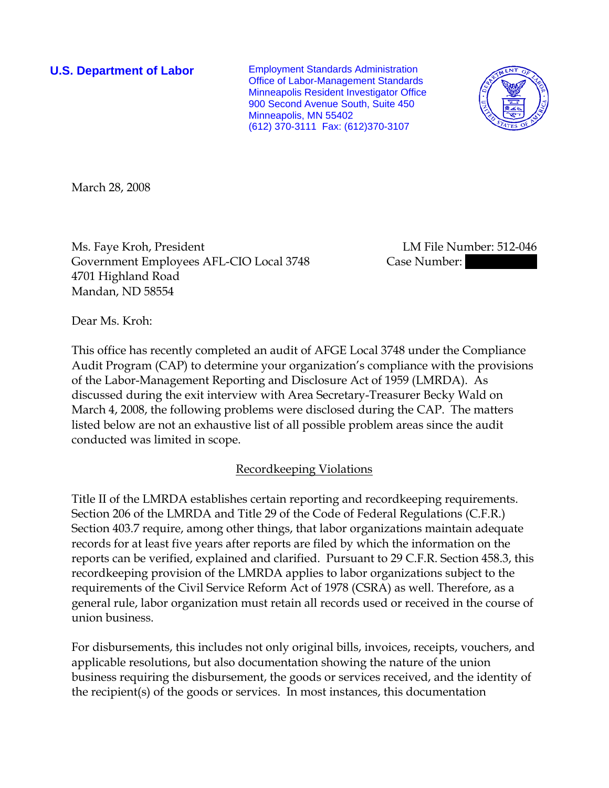**U.S. Department of Labor** Employment Standards Administration Office of Labor-Management Standards Minneapolis Resident Investigator Office 900 Second Avenue South, Suite 450 Minneapolis, MN 55402 (612) 370-3111 Fax: (612)370-3107



March 28, 2008

Ms. Faye Kroh, President LM File Number: 512-046 Government Employees AFL-CIO Local 3748 Case Number: 4701 Highland Road Mandan, ND 58554

Dear Ms. Kroh:

This office has recently completed an audit of AFGE Local 3748 under the Compliance Audit Program (CAP) to determine your organization's compliance with the provisions of the Labor-Management Reporting and Disclosure Act of 1959 (LMRDA). As discussed during the exit interview with Area Secretary-Treasurer Becky Wald on March 4, 2008, the following problems were disclosed during the CAP. The matters listed below are not an exhaustive list of all possible problem areas since the audit conducted was limited in scope.

## Recordkeeping Violations

Title II of the LMRDA establishes certain reporting and recordkeeping requirements. Section 206 of the LMRDA and Title 29 of the Code of Federal Regulations (C.F.R.) Section 403.7 require, among other things, that labor organizations maintain adequate records for at least five years after reports are filed by which the information on the reports can be verified, explained and clarified. Pursuant to 29 C.F.R. Section 458.3, this recordkeeping provision of the LMRDA applies to labor organizations subject to the requirements of the Civil Service Reform Act of 1978 (CSRA) as well. Therefore, as a general rule, labor organization must retain all records used or received in the course of union business.

For disbursements, this includes not only original bills, invoices, receipts, vouchers, and applicable resolutions, but also documentation showing the nature of the union business requiring the disbursement, the goods or services received, and the identity of the recipient(s) of the goods or services. In most instances, this documentation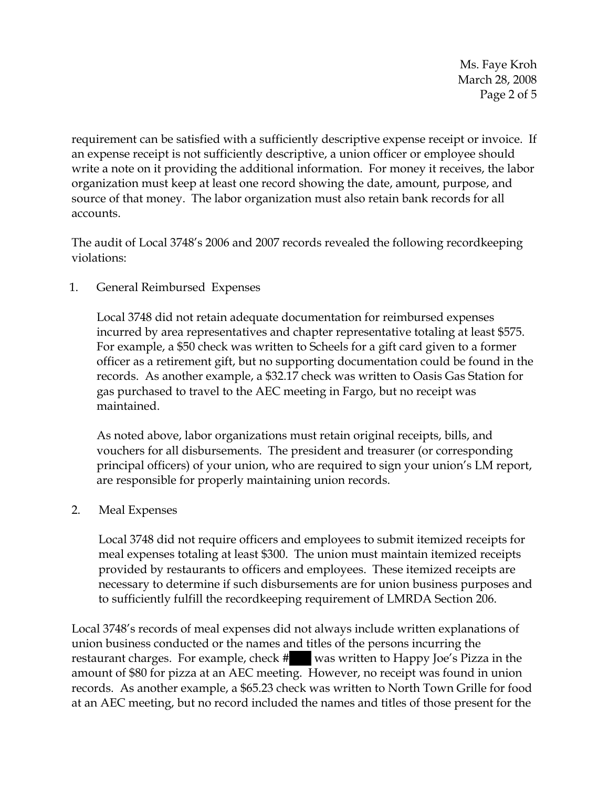Ms. Faye Kroh March 28, 2008 Page 2 of 5

requirement can be satisfied with a sufficiently descriptive expense receipt or invoice. If an expense receipt is not sufficiently descriptive, a union officer or employee should write a note on it providing the additional information. For money it receives, the labor organization must keep at least one record showing the date, amount, purpose, and source of that money. The labor organization must also retain bank records for all accounts.

The audit of Local 3748's 2006 and 2007 records revealed the following recordkeeping violations:

1. General Reimbursed Expenses

Local 3748 did not retain adequate documentation for reimbursed expenses incurred by area representatives and chapter representative totaling at least \$575. For example, a \$50 check was written to Scheels for a gift card given to a former officer as a retirement gift, but no supporting documentation could be found in the records. As another example, a \$32.17 check was written to Oasis Gas Station for gas purchased to travel to the AEC meeting in Fargo, but no receipt was maintained.

As noted above, labor organizations must retain original receipts, bills, and vouchers for all disbursements. The president and treasurer (or corresponding principal officers) of your union, who are required to sign your union's LM report, are responsible for properly maintaining union records.

2. Meal Expenses

Local 3748 did not require officers and employees to submit itemized receipts for meal expenses totaling at least \$300. The union must maintain itemized receipts provided by restaurants to officers and employees. These itemized receipts are necessary to determine if such disbursements are for union business purposes and to sufficiently fulfill the recordkeeping requirement of LMRDA Section 206.

Local 3748's records of meal expenses did not always include written explanations of union business conducted or the names and titles of the persons incurring the restaurant charges. For example, check # || was written to Happy Joe's Pizza in the amount of \$80 for pizza at an AEC meeting. However, no receipt was found in union records. As another example, a \$65.23 check was written to North Town Grille for food at an AEC meeting, but no record included the names and titles of those present for the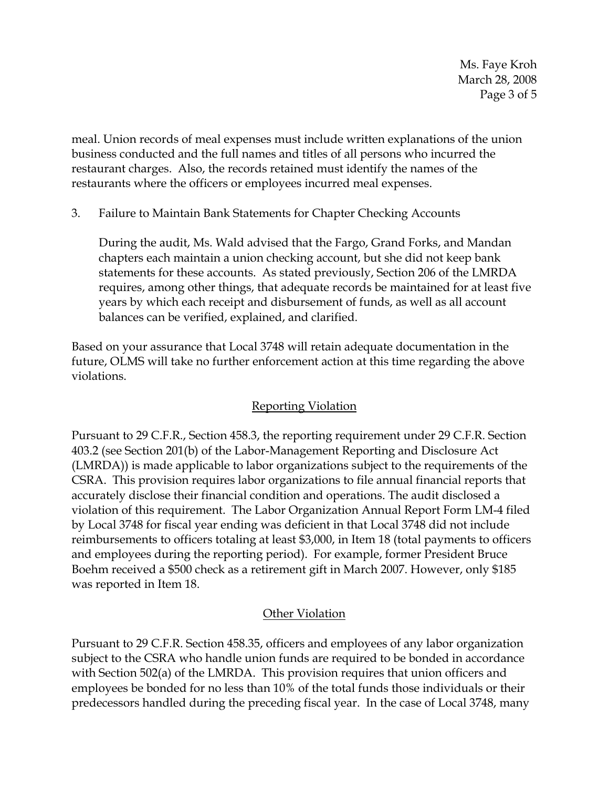Ms. Faye Kroh March 28, 2008 Page 3 of 5

meal. Union records of meal expenses must include written explanations of the union business conducted and the full names and titles of all persons who incurred the restaurant charges. Also, the records retained must identify the names of the restaurants where the officers or employees incurred meal expenses.

3. Failure to Maintain Bank Statements for Chapter Checking Accounts

During the audit, Ms. Wald advised that the Fargo, Grand Forks, and Mandan chapters each maintain a union checking account, but she did not keep bank statements for these accounts. As stated previously, Section 206 of the LMRDA requires, among other things, that adequate records be maintained for at least five years by which each receipt and disbursement of funds, as well as all account balances can be verified, explained, and clarified.

Based on your assurance that Local 3748 will retain adequate documentation in the future, OLMS will take no further enforcement action at this time regarding the above violations.

## Reporting Violation

Pursuant to 29 C.F.R., Section 458.3, the reporting requirement under 29 C.F.R. Section 403.2 (see Section 201(b) of the Labor-Management Reporting and Disclosure Act (LMRDA)) is made applicable to labor organizations subject to the requirements of the CSRA. This provision requires labor organizations to file annual financial reports that accurately disclose their financial condition and operations. The audit disclosed a violation of this requirement. The Labor Organization Annual Report Form LM-4 filed by Local 3748 for fiscal year ending was deficient in that Local 3748 did not include reimbursements to officers totaling at least \$3,000, in Item 18 (total payments to officers and employees during the reporting period). For example, former President Bruce Boehm received a \$500 check as a retirement gift in March 2007. However, only \$185 was reported in Item 18.

## **Other Violation**

Pursuant to 29 C.F.R. Section 458.35, officers and employees of any labor organization subject to the CSRA who handle union funds are required to be bonded in accordance with Section 502(a) of the LMRDA. This provision requires that union officers and employees be bonded for no less than 10% of the total funds those individuals or their predecessors handled during the preceding fiscal year. In the case of Local 3748, many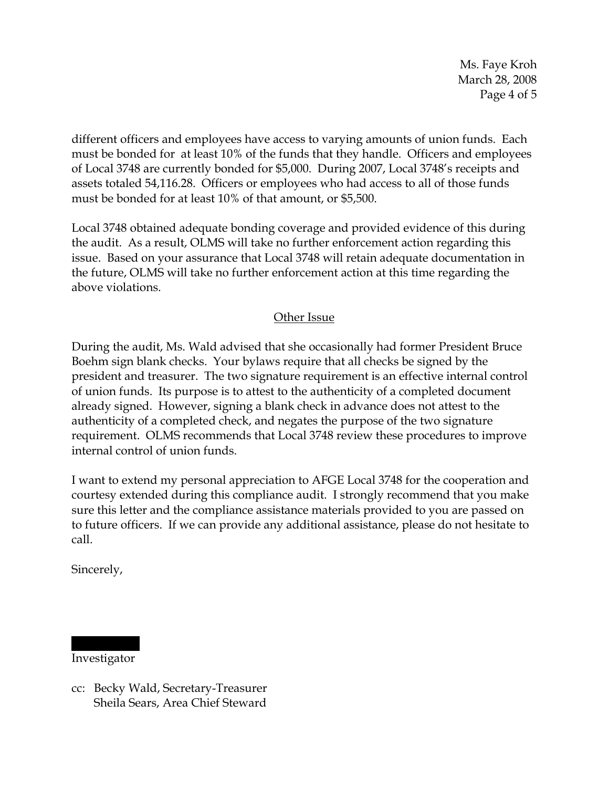Ms. Faye Kroh March 28, 2008 Page 4 of 5

different officers and employees have access to varying amounts of union funds. Each must be bonded for at least 10% of the funds that they handle. Officers and employees of Local 3748 are currently bonded for \$5,000. During 2007, Local 3748's receipts and assets totaled 54,116.28. Officers or employees who had access to all of those funds must be bonded for at least 10% of that amount, or \$5,500.

Local 3748 obtained adequate bonding coverage and provided evidence of this during the audit. As a result, OLMS will take no further enforcement action regarding this issue. Based on your assurance that Local 3748 will retain adequate documentation in the future, OLMS will take no further enforcement action at this time regarding the above violations.

## Other Issue

During the audit, Ms. Wald advised that she occasionally had former President Bruce Boehm sign blank checks. Your bylaws require that all checks be signed by the president and treasurer. The two signature requirement is an effective internal control of union funds. Its purpose is to attest to the authenticity of a completed document already signed. However, signing a blank check in advance does not attest to the authenticity of a completed check, and negates the purpose of the two signature requirement. OLMS recommends that Local 3748 review these procedures to improve internal control of union funds.

I want to extend my personal appreciation to AFGE Local 3748 for the cooperation and courtesy extended during this compliance audit. I strongly recommend that you make sure this letter and the compliance assistance materials provided to you are passed on to future officers. If we can provide any additional assistance, please do not hesitate to call.

Sincerely,

|||||| ||| Investigator

cc: Becky Wald, Secretary-Treasurer Sheila Sears, Area Chief Steward